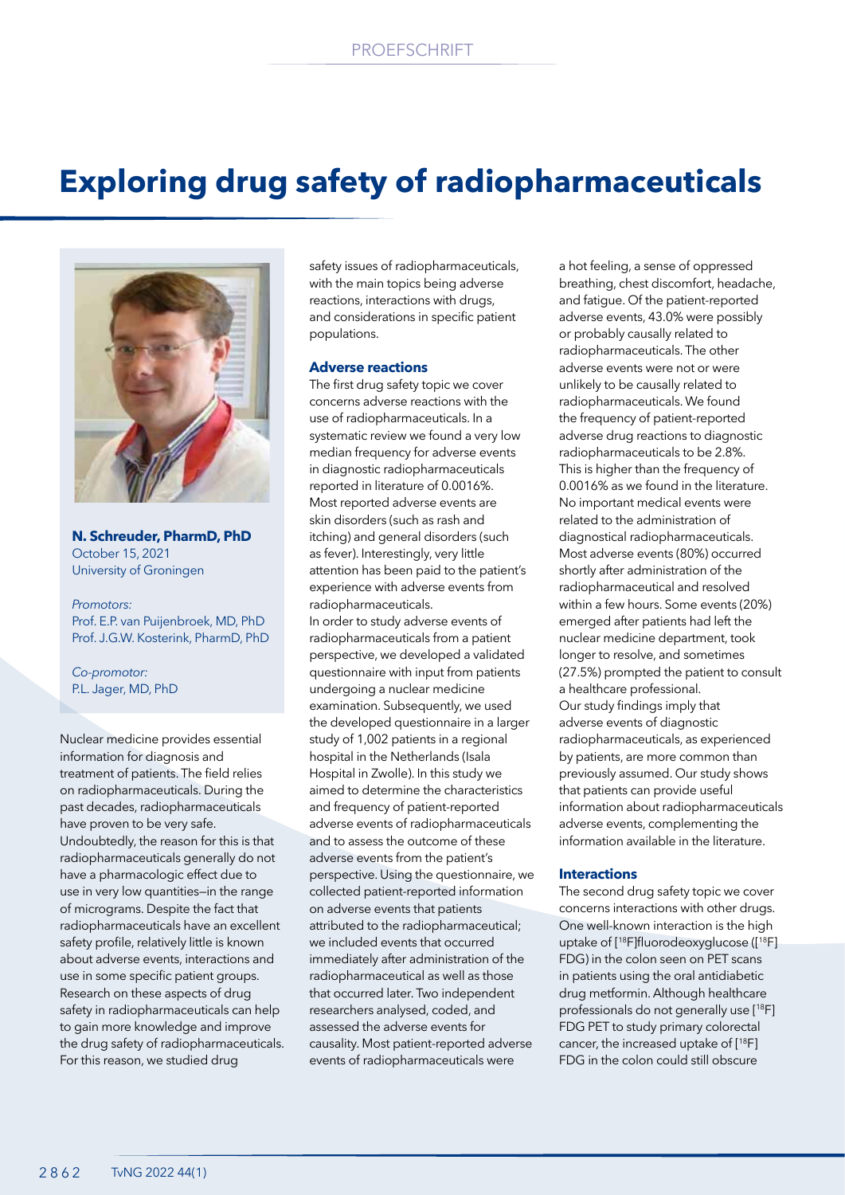# **Exploring drug safety of radiopharmaceuticals**



**N. Schreuder, PharmD, PhD** October 15, 2021 University of Groningen

*Promotors:* Prof. E.P. van Puijenbroek, MD, PhD Prof. J.G.W. Kosterink, PharmD, PhD

*Co-promotor:* P.L. Jager, MD, PhD

Nuclear medicine provides essential information for diagnosis and treatment of patients. The field relies on radiopharmaceuticals. During the past decades, radiopharmaceuticals have proven to be very safe. Undoubtedly, the reason for this is that radiopharmaceuticals generally do not have a pharmacologic effect due to use in very low quantities—in the range of micrograms. Despite the fact that radiopharmaceuticals have an excellent safety profile, relatively little is known about adverse events, interactions and use in some specific patient groups. Research on these aspects of drug safety in radiopharmaceuticals can help to gain more knowledge and improve the drug safety of radiopharmaceuticals. For this reason, we studied drug

safety issues of radiopharmaceuticals, with the main topics being adverse reactions, interactions with drugs, and considerations in specific patient populations.

# **Adverse reactions**

The first drug safety topic we cover concerns adverse reactions with the use of radiopharmaceuticals. In a systematic review we found a very low median frequency for adverse events in diagnostic radiopharmaceuticals reported in literature of 0.0016%. Most reported adverse events are skin disorders (such as rash and itching) and general disorders (such as fever). Interestingly, very little attention has been paid to the patient's experience with adverse events from radiopharmaceuticals. In order to study adverse events of radiopharmaceuticals from a patient perspective, we developed a validated questionnaire with input from patients undergoing a nuclear medicine examination. Subsequently, we used the developed questionnaire in a larger study of 1,002 patients in a regional hospital in the Netherlands (Isala Hospital in Zwolle). In this study we aimed to determine the characteristics and frequency of patient-reported adverse events of radiopharmaceuticals and to assess the outcome of these adverse events from the patient's perspective. Using the questionnaire, we collected patient-reported information on adverse events that patients attributed to the radiopharmaceutical; we included events that occurred immediately after administration of the radiopharmaceutical as well as those that occurred later. Two independent researchers analysed, coded, and assessed the adverse events for causality. Most patient-reported adverse events of radiopharmaceuticals were

a hot feeling, a sense of oppressed breathing, chest discomfort, headache, and fatigue. Of the patient-reported adverse events, 43.0% were possibly or probably causally related to radiopharmaceuticals. The other adverse events were not or were unlikely to be causally related to radiopharmaceuticals. We found the frequency of patient-reported adverse drug reactions to diagnostic radiopharmaceuticals to be 2.8%. This is higher than the frequency of 0.0016% as we found in the literature. No important medical events were related to the administration of diagnostical radiopharmaceuticals. Most adverse events (80%) occurred shortly after administration of the radiopharmaceutical and resolved within a few hours. Some events (20%) emerged after patients had left the nuclear medicine department, took longer to resolve, and sometimes (27.5%) prompted the patient to consult a healthcare professional. Our study findings imply that adverse events of diagnostic radiopharmaceuticals, as experienced by patients, are more common than previously assumed. Our study shows that patients can provide useful information about radiopharmaceuticals adverse events, complementing the information available in the literature.

## **Interactions**

The second drug safety topic we cover concerns interactions with other drugs. One well-known interaction is the high uptake of [<sup>18</sup>F]fluorodeoxyglucose ([<sup>18</sup>F] FDG) in the colon seen on PET scans in patients using the oral antidiabetic drug metformin. Although healthcare professionals do not generally use [18F] FDG PET to study primary colorectal cancer, the increased uptake of [18F] FDG in the colon could still obscure